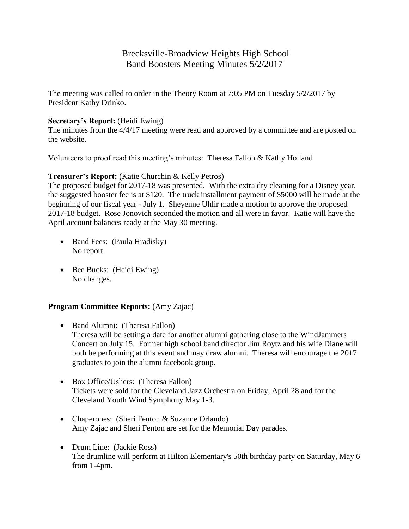# Brecksville-Broadview Heights High School Band Boosters Meeting Minutes 5/2/2017

The meeting was called to order in the Theory Room at 7:05 PM on Tuesday 5/2/2017 by President Kathy Drinko.

# **Secretary's Report:** (Heidi Ewing)

The minutes from the 4/4/17 meeting were read and approved by a committee and are posted on the website.

Volunteers to proof read this meeting's minutes: Theresa Fallon & Kathy Holland

# **Treasurer's Report:** (Katie Churchin & Kelly Petros)

The proposed budget for 2017-18 was presented. With the extra dry cleaning for a Disney year, the suggested booster fee is at \$120. The truck installment payment of \$5000 will be made at the beginning of our fiscal year - July 1. Sheyenne Uhlir made a motion to approve the proposed 2017-18 budget. Rose Jonovich seconded the motion and all were in favor. Katie will have the April account balances ready at the May 30 meeting.

- Band Fees: (Paula Hradisky) No report.
- Bee Bucks: (Heidi Ewing) No changes.

## **Program Committee Reports:** (Amy Zajac)

- Band Alumni: (Theresa Fallon) Theresa will be setting a date for another alumni gathering close to the WindJammers Concert on July 15. Former high school band director Jim Roytz and his wife Diane will both be performing at this event and may draw alumni. Theresa will encourage the 2017 graduates to join the alumni facebook group.
- Box Office/Ushers: (Theresa Fallon) Tickets were sold for the Cleveland Jazz Orchestra on Friday, April 28 and for the Cleveland Youth Wind Symphony May 1-3.
- Chaperones: (Sheri Fenton & Suzanne Orlando) Amy Zajac and Sheri Fenton are set for the Memorial Day parades.
- Drum Line: (Jackie Ross) The drumline will perform at Hilton Elementary's 50th birthday party on Saturday, May 6 from 1-4pm.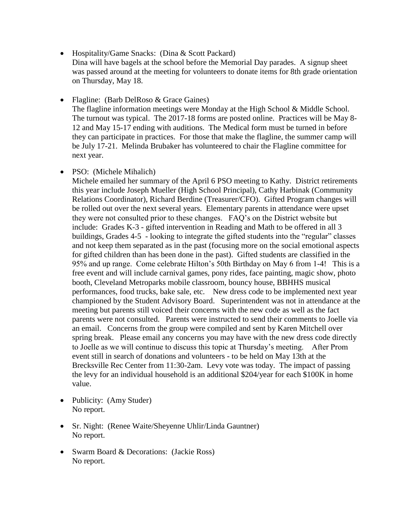- Hospitality/Game Snacks: (Dina & Scott Packard)
- Dina will have bagels at the school before the Memorial Day parades. A signup sheet was passed around at the meeting for volunteers to donate items for 8th grade orientation on Thursday, May 18.

• Flagline: (Barb DelRoso & Grace Gaines) The flagline information meetings were Monday at the High School & Middle School. The turnout was typical. The 2017-18 forms are posted online. Practices will be May 8- 12 and May 15-17 ending with auditions. The Medical form must be turned in before they can participate in practices. For those that make the flagline, the summer camp will be July 17-21. Melinda Brubaker has volunteered to chair the Flagline committee for next year.

• PSO: (Michele Mihalich)

Michele emailed her summary of the April 6 PSO meeting to Kathy. District retirements this year include Joseph Mueller (High School Principal), Cathy Harbinak (Community Relations Coordinator), Richard Berdine (Treasurer/CFO). Gifted Program changes will be rolled out over the next several years. Elementary parents in attendance were upset they were not consulted prior to these changes. FAQ's on the District website but include: Grades K-3 - gifted intervention in Reading and Math to be offered in all 3 buildings, Grades 4-5 - looking to integrate the gifted students into the "regular" classes and not keep them separated as in the past (focusing more on the social emotional aspects for gifted children than has been done in the past). Gifted students are classified in the 95% and up range. Come celebrate Hilton's 50th Birthday on May 6 from 1-4! This is a free event and will include carnival games, pony rides, face painting, magic show, photo booth, Cleveland Metroparks mobile classroom, bouncy house, BBHHS musical performances, food trucks, bake sale, etc. New dress code to be implemented next year championed by the Student Advisory Board. Superintendent was not in attendance at the meeting but parents still voiced their concerns with the new code as well as the fact parents were not consulted. Parents were instructed to send their comments to Joelle via an email. Concerns from the group were compiled and sent by Karen Mitchell over spring break. Please email any concerns you may have with the new dress code directly to Joelle as we will continue to discuss this topic at Thursday's meeting. After Prom event still in search of donations and volunteers - to be held on May 13th at the Brecksville Rec Center from 11:30-2am. Levy vote was today. The impact of passing the levy for an individual household is an additional \$204/year for each \$100K in home value.

- Publicity: (Amy Studer) No report.
- Sr. Night: (Renee Waite/Sheyenne Uhlir/Linda Gauntner) No report.
- Swarm Board & Decorations: (Jackie Ross) No report.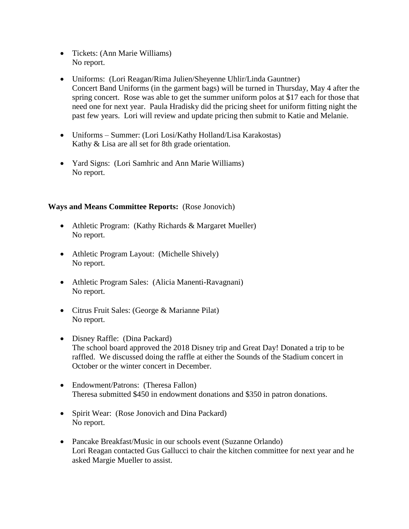- Tickets: (Ann Marie Williams) No report.
- Uniforms: (Lori Reagan/Rima Julien/Sheyenne Uhlir/Linda Gauntner) Concert Band Uniforms (in the garment bags) will be turned in Thursday, May 4 after the spring concert. Rose was able to get the summer uniform polos at \$17 each for those that need one for next year. Paula Hradisky did the pricing sheet for uniform fitting night the past few years. Lori will review and update pricing then submit to Katie and Melanie.
- Uniforms Summer: (Lori Losi/Kathy Holland/Lisa Karakostas) Kathy & Lisa are all set for 8th grade orientation.
- Yard Signs: (Lori Samhric and Ann Marie Williams) No report.

# **Ways and Means Committee Reports:** (Rose Jonovich)

- Athletic Program: (Kathy Richards & Margaret Mueller) No report.
- Athletic Program Layout: (Michelle Shively) No report.
- Athletic Program Sales: (Alicia Manenti-Ravagnani) No report.
- Citrus Fruit Sales: (George & Marianne Pilat) No report.
- Disney Raffle: (Dina Packard) The school board approved the 2018 Disney trip and Great Day! Donated a trip to be raffled. We discussed doing the raffle at either the Sounds of the Stadium concert in October or the winter concert in December.
- Endowment/Patrons: (Theresa Fallon) Theresa submitted \$450 in endowment donations and \$350 in patron donations.
- Spirit Wear: (Rose Jonovich and Dina Packard) No report.
- Pancake Breakfast/Music in our schools event (Suzanne Orlando) Lori Reagan contacted Gus Gallucci to chair the kitchen committee for next year and he asked Margie Mueller to assist.